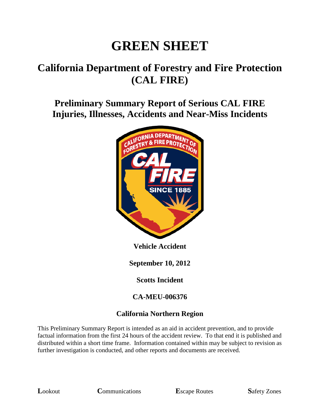# **GREEN SHEET**

# **California Department of Forestry and Fire Protection (CAL FIRE)**

**Preliminary Summary Report of Serious CAL FIRE Injuries, Illnesses, Accidents and Near-Miss Incidents**



**Vehicle Accident**

**September 10, 2012**

**Scotts Incident**

#### **CA-MEU-006376**

#### **California Northern Region**

This Preliminary Summary Report is intended as an aid in accident prevention, and to provide factual information from the first 24 hours of the accident review. To that end it is published and distributed within a short time frame. Information contained within may be subject to revision as further investigation is conducted, and other reports and documents are received.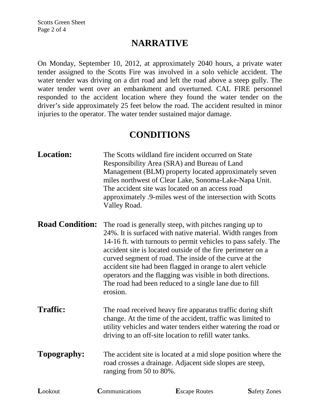### **NARRATIVE**

On Monday, September 10, 2012, at approximately 2040 hours, a private water tender assigned to the Scotts Fire was involved in a solo vehicle accident. The water tender was driving on a dirt road and left the road above a steep gully. The water tender went over an embankment and overturned. CAL FIRE personnel responded to the accident location where they found the water tender on the driver's side approximately 25 feet below the road. The accident resulted in minor injuries to the operator. The water tender sustained major damage.

#### **CONDITIONS**

| <b>Location:</b>       | Valley Road.                                                                                                                                                                                                                                           | The Scotts wildland fire incident occurred on State<br>Responsibility Area (SRA) and Bureau of Land<br>Management (BLM) property located approximately seven<br>miles northwest of Clear Lake, Sonoma-Lake-Napa Unit.<br>The accident site was located on an access road<br>approximately .9-miles west of the intersection with Scotts                                                                                                                                                                |                     |
|------------------------|--------------------------------------------------------------------------------------------------------------------------------------------------------------------------------------------------------------------------------------------------------|--------------------------------------------------------------------------------------------------------------------------------------------------------------------------------------------------------------------------------------------------------------------------------------------------------------------------------------------------------------------------------------------------------------------------------------------------------------------------------------------------------|---------------------|
| <b>Road Condition:</b> | erosion.                                                                                                                                                                                                                                               | The road is generally steep, with pitches ranging up to<br>24%. It is surfaced with native material. Width ranges from<br>14-16 ft. with turnouts to permit vehicles to pass safely. The<br>accident site is located outside of the fire perimeter on a<br>curved segment of road. The inside of the curve at the<br>accident site had been flagged in orange to alert vehicle<br>operators and the flagging was visible in both directions.<br>The road had been reduced to a single lane due to fill |                     |
| <b>Traffic:</b>        | The road received heavy fire apparatus traffic during shift<br>change. At the time of the accident, traffic was limited to<br>utility vehicles and water tenders either watering the road or<br>driving to an off-site location to refill water tanks. |                                                                                                                                                                                                                                                                                                                                                                                                                                                                                                        |                     |
| Topography:            | The accident site is located at a mid slope position where the<br>road crosses a drainage. Adjacent side slopes are steep,<br>ranging from 50 to 80%.                                                                                                  |                                                                                                                                                                                                                                                                                                                                                                                                                                                                                                        |                     |
| Lookout                | Communications                                                                                                                                                                                                                                         | <b>Escape Routes</b>                                                                                                                                                                                                                                                                                                                                                                                                                                                                                   | <b>Safety Zones</b> |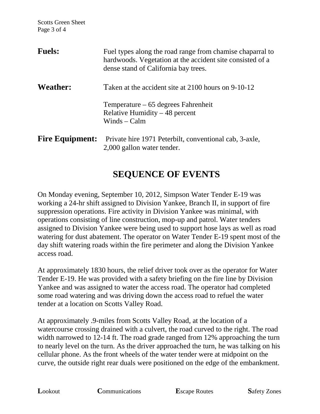| <b>Fuels:</b>          | Fuel types along the road range from chamise chaparral to<br>hardwoods. Vegetation at the accident site consisted of a<br>dense stand of California bay trees. |
|------------------------|----------------------------------------------------------------------------------------------------------------------------------------------------------------|
| <b>Weather:</b>        | Taken at the accident site at 2100 hours on 9-10-12                                                                                                            |
|                        | $Temperature - 65 degrees Fahrenheit$<br>Relative Humidity $-48$ percent<br>Winds $-$ Calm                                                                     |
| <b>Fire Equipment:</b> | Private hire 1971 Peterbilt, conventional cab, 3-axle,<br>2,000 gallon water tender.                                                                           |

## **SEQUENCE OF EVENTS**

On Monday evening, September 10, 2012, Simpson Water Tender E-19 was working a 24-hr shift assigned to Division Yankee, Branch II, in support of fire suppression operations. Fire activity in Division Yankee was minimal, with operations consisting of line construction, mop-up and patrol. Water tenders assigned to Division Yankee were being used to support hose lays as well as road watering for dust abatement. The operator on Water Tender E-19 spent most of the day shift watering roads within the fire perimeter and along the Division Yankee access road.

At approximately 1830 hours, the relief driver took over as the operator for Water Tender E-19. He was provided with a safety briefing on the fire line by Division Yankee and was assigned to water the access road. The operator had completed some road watering and was driving down the access road to refuel the water tender at a location on Scotts Valley Road.

At approximately .9-miles from Scotts Valley Road, at the location of a watercourse crossing drained with a culvert, the road curved to the right. The road width narrowed to 12-14 ft. The road grade ranged from 12% approaching the turn to nearly level on the turn. As the driver approached the turn, he was talking on his cellular phone. As the front wheels of the water tender were at midpoint on the curve, the outside right rear duals were positioned on the edge of the embankment.